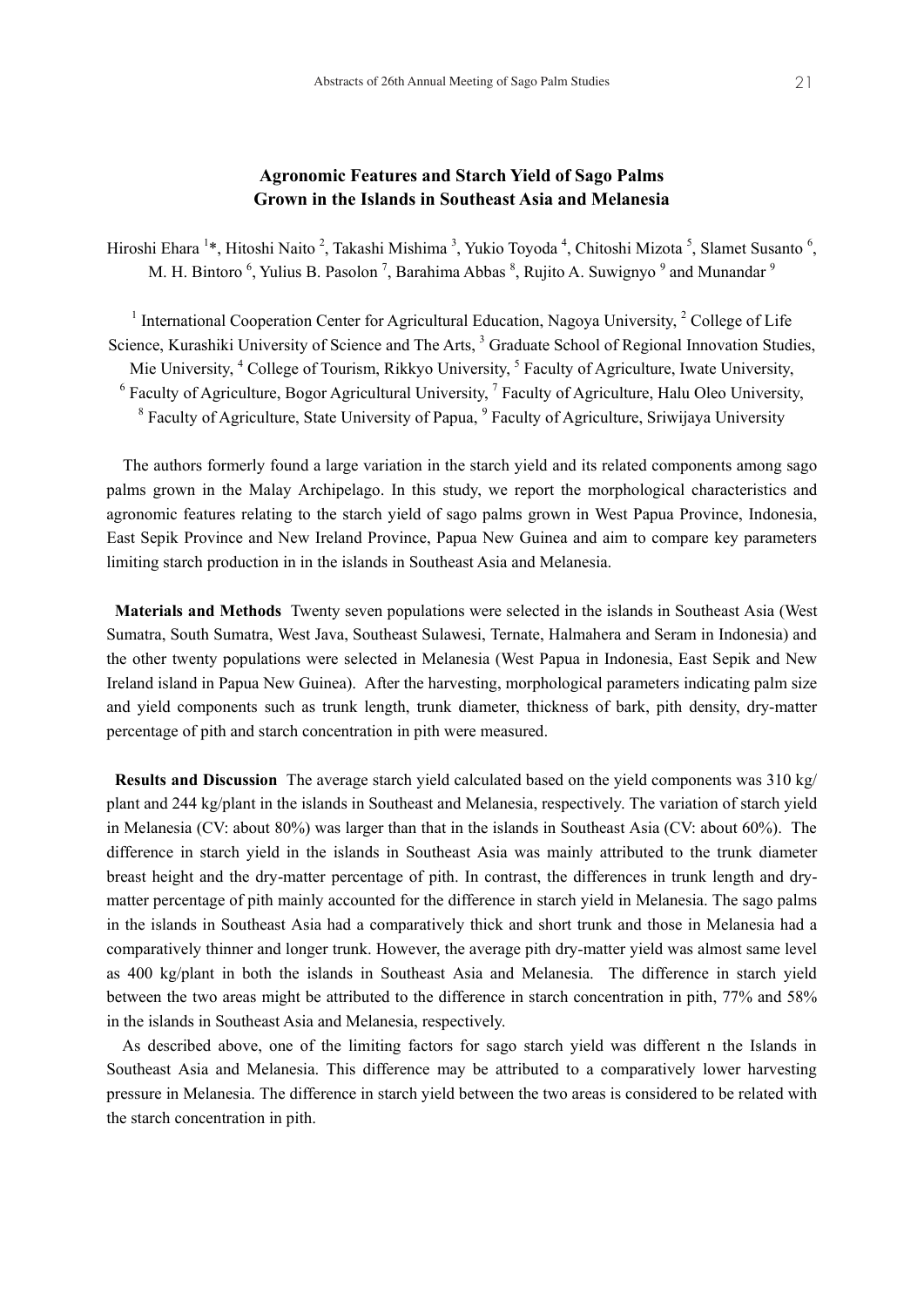# **Agronomic Features and Starch Yield of Sago Palms Grown in the Islands in Southeast Asia and Melanesia**

Hiroshi Ehara <sup>1</sup>\*, Hitoshi Naito <sup>2</sup>, Takashi Mishima <sup>3</sup>, Yukio Toyoda <sup>4</sup>, Chitoshi Mizota <sup>5</sup>, Slamet Susanto <sup>6</sup>, M. H. Bintoro <sup>6</sup>, Yulius B. Pasolon <sup>7</sup>, Barahima Abbas <sup>8</sup>, Rujito A. Suwignyo <sup>9</sup> and Munandar <sup>9</sup>

<sup>1</sup> International Cooperation Center for Agricultural Education, Nagoya University,  $2$  College of Life Science, Kurashiki University of Science and The Arts, <sup>3</sup> Graduate School of Regional Innovation Studies, Mie University, <sup>4</sup> College of Tourism, Rikkyo University, <sup>5</sup> Faculty of Agriculture, Iwate University,  $<sup>6</sup>$  Faculty of Agriculture, Bogor Agricultural University,  $<sup>7</sup>$  Faculty of Agriculture, Halu Oleo University,</sup></sup> <sup>8</sup> Faculty of Agriculture, State University of Papua, <sup>9</sup> Faculty of Agriculture, Sriwijaya University

 The authors formerly found a large variation in the starch yield and its related components among sago palms grown in the Malay Archipelago. In this study, we report the morphological characteristics and agronomic features relating to the starch yield of sago palms grown in West Papua Province, Indonesia, East Sepik Province and New Ireland Province, Papua New Guinea and aim to compare key parameters limiting starch production in in the islands in Southeast Asia and Melanesia.

 **Materials and Methods** Twenty seven populations were selected in the islands in Southeast Asia (West Sumatra, South Sumatra, West Java, Southeast Sulawesi, Ternate, Halmahera and Seram in Indonesia) and the other twenty populations were selected in Melanesia (West Papua in Indonesia, East Sepik and New Ireland island in Papua New Guinea). After the harvesting, morphological parameters indicating palm size and yield components such as trunk length, trunk diameter, thickness of bark, pith density, dry-matter percentage of pith and starch concentration in pith were measured.

 **Results and Discussion** The average starch yield calculated based on the yield components was 310 kg/ plant and 244 kg/plant in the islands in Southeast and Melanesia, respectively. The variation of starch yield in Melanesia (CV: about 80%) was larger than that in the islands in Southeast Asia (CV: about 60%). The difference in starch yield in the islands in Southeast Asia was mainly attributed to the trunk diameter breast height and the dry-matter percentage of pith. In contrast, the differences in trunk length and drymatter percentage of pith mainly accounted for the difference in starch yield in Melanesia. The sago palms in the islands in Southeast Asia had a comparatively thick and short trunk and those in Melanesia had a comparatively thinner and longer trunk. However, the average pith dry-matter yield was almost same level as 400 kg/plant in both the islands in Southeast Asia and Melanesia. The difference in starch yield between the two areas might be attributed to the difference in starch concentration in pith, 77% and 58% in the islands in Southeast Asia and Melanesia, respectively.

 As described above, one of the limiting factors for sago starch yield was different n the Islands in Southeast Asia and Melanesia. This difference may be attributed to a comparatively lower harvesting pressure in Melanesia. The difference in starch yield between the two areas is considered to be related with the starch concentration in pith.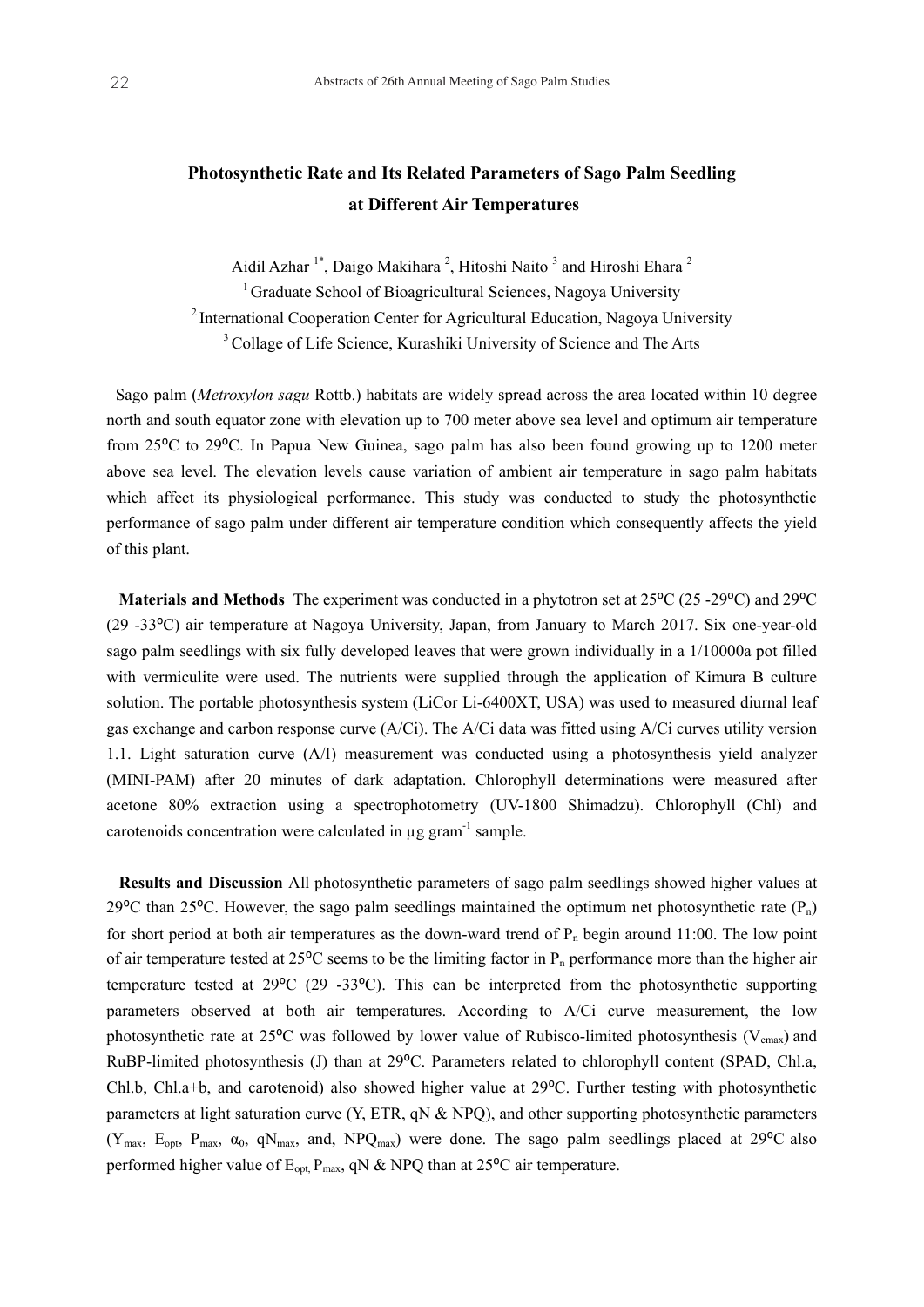# **Photosynthetic Rate and Its Related Parameters of Sago Palm Seedling at Different Air Temperatures**

Aidil Azhar<sup>1\*</sup>, Daigo Makihara<sup>2</sup>, Hitoshi Naito<sup>3</sup> and Hiroshi Ehara<sup>2</sup> 1 Graduate School of Bioagricultural Sciences, Nagoya University 2 International Cooperation Center for Agricultural Education, Nagoya University <sup>3</sup> Collage of Life Science, Kurashiki University of Science and The Arts

Sago palm (*Metroxylon sagu* Rottb.) habitats are widely spread across the area located within 10 degree north and south equator zone with elevation up to 700 meter above sea level and optimum air temperature from 25<sup>o</sup>C to 29<sup>o</sup>C. In Papua New Guinea, sago palm has also been found growing up to 1200 meter above sea level. The elevation levels cause variation of ambient air temperature in sago palm habitats which affect its physiological performance. This study was conducted to study the photosynthetic performance of sago palm under different air temperature condition which consequently affects the yield of this plant.

**Materials and Methods** The experiment was conducted in a phytotron set at 25<sup>o</sup>C (25 -29<sup>o</sup>C) and 29<sup>o</sup>C (29 -33⁰C) air temperature at Nagoya University, Japan, from January to March 2017. Six one-year-old sago palm seedlings with six fully developed leaves that were grown individually in a 1/10000a pot filled with vermiculite were used. The nutrients were supplied through the application of Kimura B culture solution. The portable photosynthesis system (LiCor Li-6400XT, USA) was used to measured diurnal leaf gas exchange and carbon response curve (A/Ci). The A/Ci data was fitted using A/Ci curves utility version 1.1. Light saturation curve (A/I) measurement was conducted using a photosynthesis yield analyzer (MINI-PAM) after 20 minutes of dark adaptation. Chlorophyll determinations were measured after acetone 80% extraction using a spectrophotometry (UV-1800 Shimadzu). Chlorophyll (Chl) and carotenoids concentration were calculated in ug gram<sup>-1</sup> sample.

 **Results and Discussion** All photosynthetic parameters of sago palm seedlings showed higher values at 29 $\degree$ C than 25 $\degree$ C. However, the sago palm seedlings maintained the optimum net photosynthetic rate (P<sub>n</sub>) for short period at both air temperatures as the down-ward trend of  $P_n$  begin around 11:00. The low point of air temperature tested at 25 $\rm{^{\circ}C}$  seems to be the limiting factor in  $\rm{P_n}$  performance more than the higher air temperature tested at  $29^{\circ}C$  (29 -33 $^{\circ}C$ ). This can be interpreted from the photosynthetic supporting parameters observed at both air temperatures. According to A/Ci curve measurement, the low photosynthetic rate at  $25^{\circ}$ C was followed by lower value of Rubisco-limited photosynthesis (V<sub>cmax</sub>) and RuBP-limited photosynthesis (J) than at 29 °C. Parameters related to chlorophyll content (SPAD, Chl.a, Chl.b, Chl.a+b, and carotenoid) also showed higher value at 29⁰C. Further testing with photosynthetic parameters at light saturation curve (Y, ETR, qN & NPQ), and other supporting photosynthetic parameters  $(Y_{max}, E_{opt}, P_{max}, \alpha_0, qN_{max}, \alpha)$ , NPQ<sub>max</sub>) were done. The sago palm seedlings placed at 29<sup>o</sup>C also performed higher value of  $E_{\text{opt}}$ ,  $P_{\text{max}}$ , qN & NPQ than at 25<sup>o</sup>C air temperature.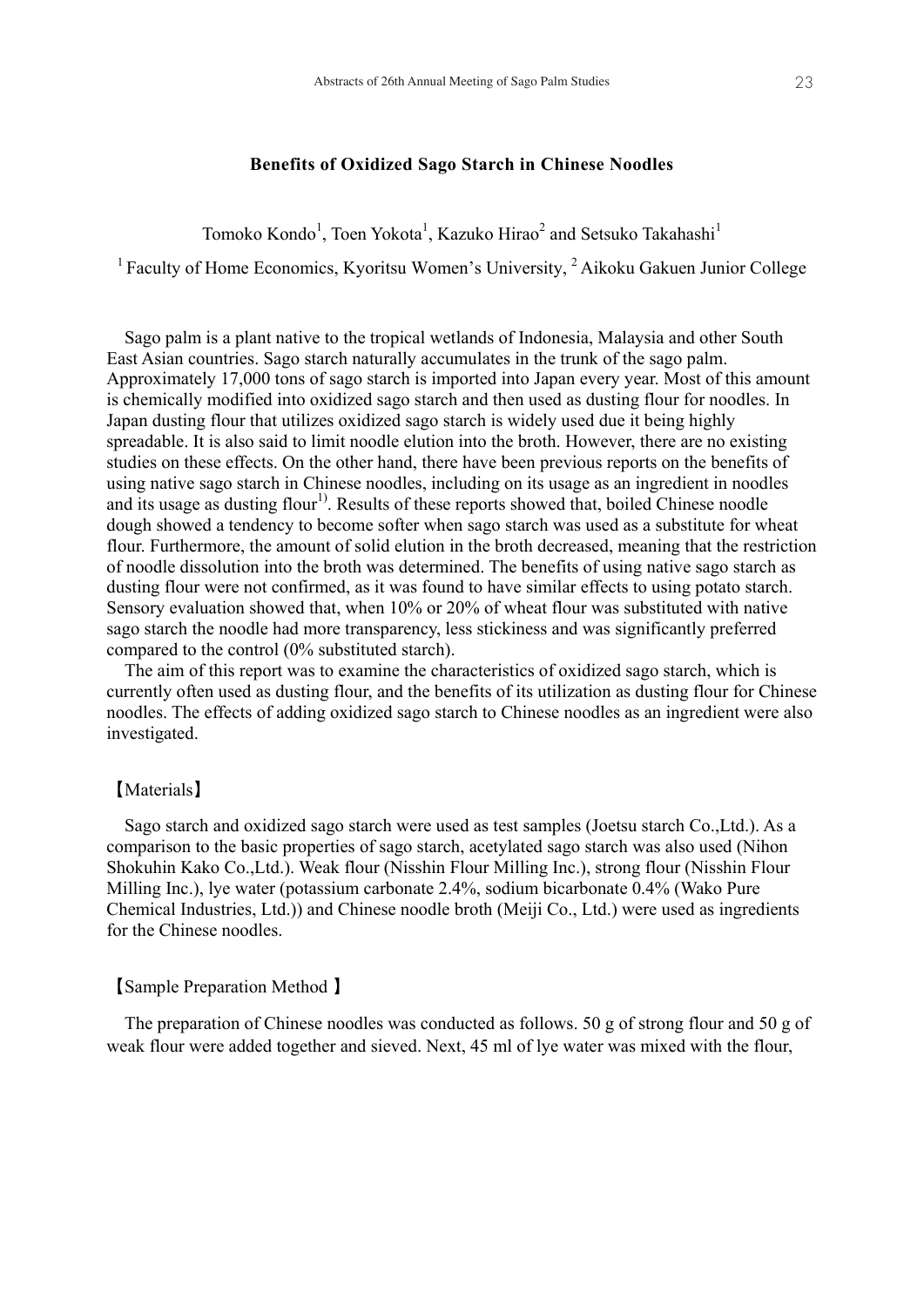#### **Benefits of Oxidized Sago Starch in Chinese Noodles**

Tomoko Kondo<sup>1</sup>, Toen Yokota<sup>1</sup>, Kazuko Hirao<sup>2</sup> and Setsuko Takahashi<sup>1</sup>

<sup>1</sup> Faculty of Home Economics, Kyoritsu Women's University,  $2$  Aikoku Gakuen Junior College

East Asian countries. Sago starch naturally accumulates in the trunk of the sago palm. Sago palm is a plant native to the tropical wetlands of Indonesia, Malaysia and other South East Asian countries. Sago starch naturally accumulates in the trunk of the sago palm. Approximately 17,000 tons of sago starch is imported into Japan every year. Most of this amount is chemically modified into oxidized sago starch and then used as dusting flour for noodles. In Japan dusting flour that utilizes oxidized sago starch is widely used due it being highly spreadable. It is also said to limit noodle elution into the broth. However, there are no existing studies on these effects. On the other hand, there have been previous reports on the benefits of using native sago starch in Chinese noodles, including on its usage as an ingredient in noodles and its usage as dusting flour<sup>1)</sup>. Results of these reports showed that, boiled Chinese noodle dough showed a tendency to become softer when sago starch was used as a substitute for wheat flour. Furthermore, the amount of solid elution in the broth decreased, meaning that the restriction of noodle dissolution into the broth was determined. The benefits of using native sago starch as dusting flour were not confirmed, as it was found to have similar effects to using potato starch. Sensory evaluation showed that, when 10% or 20% of wheat flour was substituted with native sago starch the noodle had more transparency, less stickiness and was significantly preferred compared to the control (0% substituted starch).<br> $\Gamma$ compared to the control (0% substituted starch).

The aim of this report was to examine the characteristics of oxidized sago starch, which is currently often used as dusting flour, and the benefits of its utilization as dusting flour for Chinese noodles. The effects of adding oxidized sago starch to Chinese noodles as an ingredient were also investigated.

#### Samples starch and oxidized sagon sagon sago starch were used as test samples (Joetsu starch Co.,Ltd.). As a s 【Materials】

comparison to the basic properties of sago starch, acetylated sago starch was also used (Nihon Sago starch and oxidized sago starch were used as test samples (Joetsu starch Co.,Ltd.). As a comparison to the basic properties of sago starch, acetylated sago starch was also used (Nihon Shokuhin Kako Co.,Ltd.). Weak flour (Nisshin Flour Milling Inc.), strong flour (Nisshin Flour Milling Inc.), lye water (potassium carbonate 2.4%, sodium bicarbonate 0.4% (Wako Pure Chemical Industries, Ltd.)) and Chinese noodle broth (Meiji Co., Ltd.) were used as ingredients for the Chinese noodles.

# **Sample Preparation Method 】 and 50 g of strong flour and 50 g of strong flour and 50 g of strong flour and 50 g of strong flour and 50 g of strong flour and 50 g of strong flour and 50 g of strong flour and 50 g of stro**

we are added to get and since  $\frac{1}{2}$  music with the flower and  $\frac{1}{2}$  music with the flower with the flower with the flower with the flower with the flower with the flower with the flower with the flower with the fl The preparation of Chinese noodles was conducted as follows. 50 g of strong flour and 50 g of weak flour were added together and sieved. Next, 45 ml of lye water was mixed with the flour,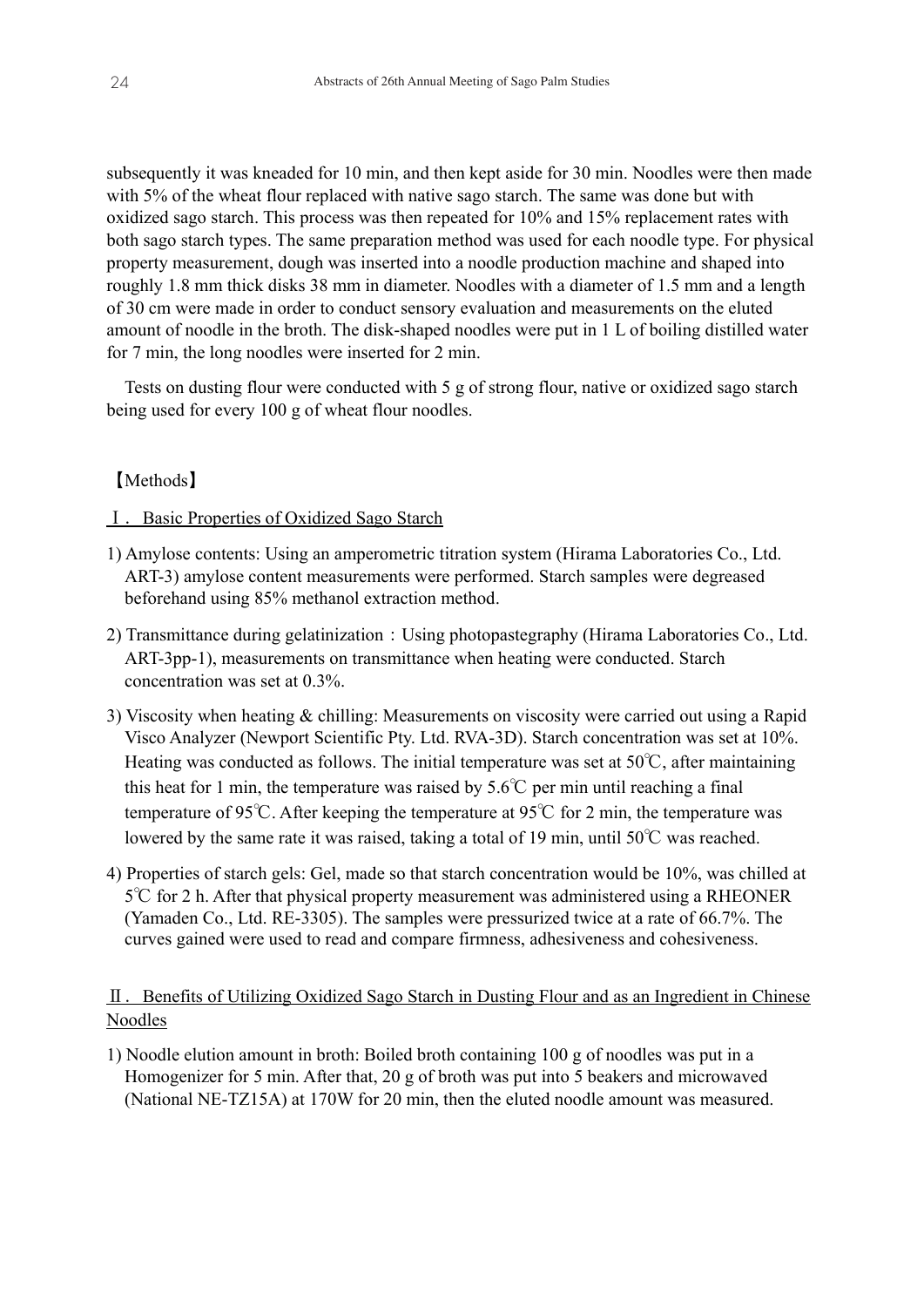subsequently it was kneaded for 10 min, and then kept aside for 30 min. Noodles were then made with 5% of the wheat flour replaced with native sago starch. The same was done but with oxidized sago starch. This process was then repeated for 10% and 15% replacement rates with both sago starch types. The same preparation method was used for each noodle type. For physical property measurement, dough was inserted into a noodle production machine and shaped into roughly 1.8 mm thick disks 38 mm in diameter. Noodles with a diameter of 1.5 mm and a length of 30 cm were made in order to conduct sensory evaluation and measurements on the eluted amount of noodle in the broth. The disk-shaped noodles were put in 1 L of boiling distilled water for 7 min, the long noodles were inserted for 2 min.

Tests on dusting flour were conducted with 5 g of strong flour, native or oxidized sago starch being used for every 100 g of wheat flour noodles.

# 【Methods】

## Ⅰ.Basic Properties of Oxidized Sago Starch

- 1) Amylose contents: Using an amperometric titration system (Hirama Laboratories Co., Ltd. ART-3) amylose content measurements were performed. Starch samples were degreased beforehand using 85% methanol extraction method.
- 2) Transmittance during gelatinization: Using photopastegraphy (Hirama Laboratories Co., Ltd. ART-3pp-1), measurements on transmittance when heating were conducted. Starch concentration was set at 0.3%.
- 3) Viscosity when heating & chilling: Measurements on viscosity were carried out using a Rapid Visco Analyzer (Newport Scientific Pty. Ltd. RVA-3D). Starch concentration was set at 10%. Heating was conducted as follows. The initial temperature was set at 50℃, after maintaining this heat for 1 min, the temperature was raised by  $5.6^{\circ}$ C per min until reaching a final temperature of 95℃. After keeping the temperature at 95℃ for 2 min, the temperature was lowered by the same rate it was raised, taking a total of 19 min, until 50℃ was reached.
- 4) Properties of starch gels: Gel, made so that starch concentration would be 10%, was chilled at 5℃ for 2 h. After that physical property measurement was administered using a RHEONER (Yamaden Co., Ltd. RE-3305). The samples were pressurized twice at a rate of 66.7%. The curves gained were used to read and compare firmness, adhesiveness and cohesiveness.

# Ⅱ.Benefits of Utilizing Oxidized Sago Starch in Dusting Flour and as an Ingredient in Chinese Noodles

1) Noodle elution amount in broth: Boiled broth containing 100 g of noodles was put in a Homogenizer for 5 min. After that, 20 g of broth was put into 5 beakers and microwaved (National NE-TZ15A) at 170W for 20 min, then the eluted noodle amount was measured.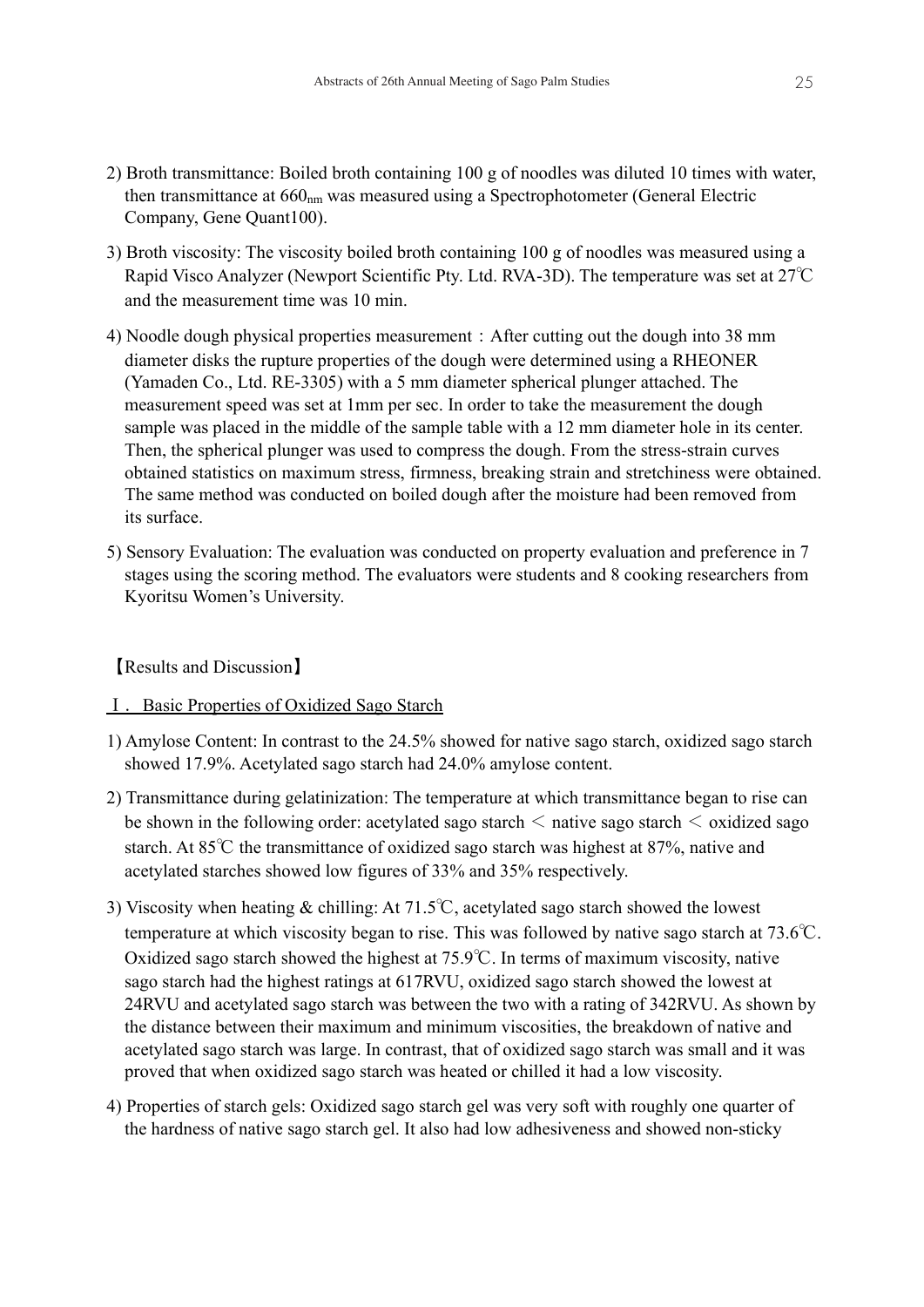- 2) Broth transmittance: Boiled broth containing 100 g of noodles was diluted 10 times with water, then transmittance at  $660<sub>nm</sub>$  was measured using a Spectrophotometer (General Electric Company, Gene Quant100).
- 3) Broth viscosity: The viscosity boiled broth containing 100 g of noodles was measured using a Rapid Visco Analyzer (Newport Scientific Pty. Ltd. RVA-3D). The temperature was set at 27℃ and the measurement time was 10 min.
- 4) Noodle dough physical properties measurement:After cutting out the dough into 38 mm diameter disks the rupture properties of the dough were determined using a RHEONER (Yamaden Co., Ltd. RE-3305) with a 5 mm diameter spherical plunger attached. The measurement speed was set at 1mm per sec. In order to take the measurement the dough sample was placed in the middle of the sample table with a 12 mm diameter hole in its center. Then, the spherical plunger was used to compress the dough. From the stress-strain curves obtained statistics on maximum stress, firmness, breaking strain and stretchiness were obtained. The same method was conducted on boiled dough after the moisture had been removed from its surface.
- 5) Sensory Evaluation: The evaluation was conducted on property evaluation and preference in 7 stages using the scoring method. The evaluators were students and 8 cooking researchers from Kyoritsu Women's University.

【Results and Discussion】

# Ⅰ.Basic Properties of Oxidized Sago Starch

- 1) Amylose Content: In contrast to the 24.5% showed for native sago starch, oxidized sago starch showed 17.9%. Acetylated sago starch had 24.0% amylose content.
- 2) Transmittance during gelatinization: The temperature at which transmittance began to rise can be shown in the following order: acetylated sago starch  $\leq$  native sago starch  $\leq$  oxidized sago starch. At 85℃ the transmittance of oxidized sago starch was highest at 87%, native and acetylated starches showed low figures of 33% and 35% respectively.
- 3) Viscosity when heating & chilling: At 71.5℃, acetylated sago starch showed the lowest temperature at which viscosity began to rise. This was followed by native sago starch at 73.6℃. Oxidized sago starch showed the highest at 75.9℃. In terms of maximum viscosity, native sago starch had the highest ratings at 617RVU, oxidized sago starch showed the lowest at 24RVU and acetylated sago starch was between the two with a rating of 342RVU. As shown by the distance between their maximum and minimum viscosities, the breakdown of native and acetylated sago starch was large. In contrast, that of oxidized sago starch was small and it was proved that when oxidized sago starch was heated or chilled it had a low viscosity.
- 4) Properties of starch gels: Oxidized sago starch gel was very soft with roughly one quarter of the hardness of native sago starch gel. It also had low adhesiveness and showed non-sticky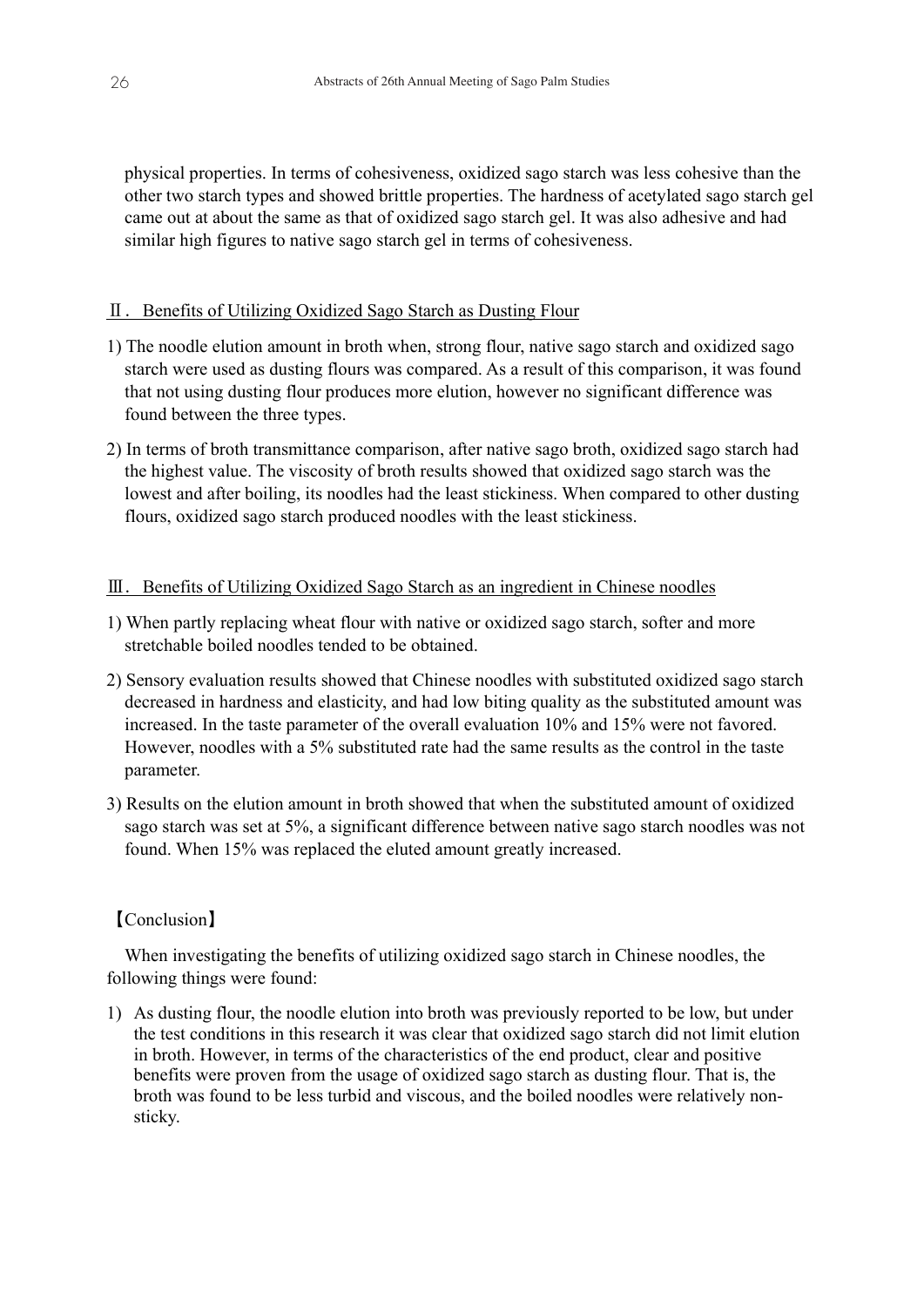physical properties. In terms of cohesiveness, oxidized sago starch was less cohesive than the other two starch types and showed brittle properties. The hardness of acetylated sago starch gel came out at about the same as that of oxidized sago starch gel. It was also adhesive and had similar high figures to native sago starch gel in terms of cohesiveness.

#### Ⅱ.Benefits of Utilizing Oxidized Sago Starch as Dusting Flour

- 1) The noodle elution amount in broth when, strong flour, native sago starch and oxidized sago starch were used as dusting flours was compared. As a result of this comparison, it was found that not using dusting flour produces more elution, however no significant difference was found between the three types.
- 2) In terms of broth transmittance comparison, after native sago broth, oxidized sago starch had the highest value. The viscosity of broth results showed that oxidized sago starch was the lowest and after boiling, its noodles had the least stickiness. When compared to other dusting flours, oxidized sago starch produced noodles with the least stickiness.

## $III.$  Benefits of Utilizing Oxidized Sago Starch as an ingredient in Chinese noodles

- 1) When partly replacing wheat flour with native or oxidized sago starch, softer and more stretchable boiled noodles tended to be obtained.
- 2) Sensory evaluation results showed that Chinese noodles with substituted oxidized sago starch decreased in hardness and elasticity, and had low biting quality as the substituted amount was increased. In the taste parameter of the overall evaluation 10% and 15% were not favored. However, noodles with a 5% substituted rate had the same results as the control in the taste parameter.
- 3) Results on the elution amount in broth showed that when the substituted amount of oxidized sago starch was set at 5%, a significant difference between native sago starch noodles was not found. When 15% was replaced the eluted amount greatly increased.

#### 【Conclusion】

When investigating the benefits of utilizing oxidized sago starch in Chinese noodles, the following things were found:

1) As dusting flour, the noodle elution into broth was previously reported to be low, but under the test conditions in this research it was clear that oxidized sago starch did not limit elution in broth. However, in terms of the characteristics of the end product, clear and positive benefits were proven from the usage of oxidized sago starch as dusting flour. That is, the broth was found to be less turbid and viscous, and the boiled noodles were relatively nonsticky.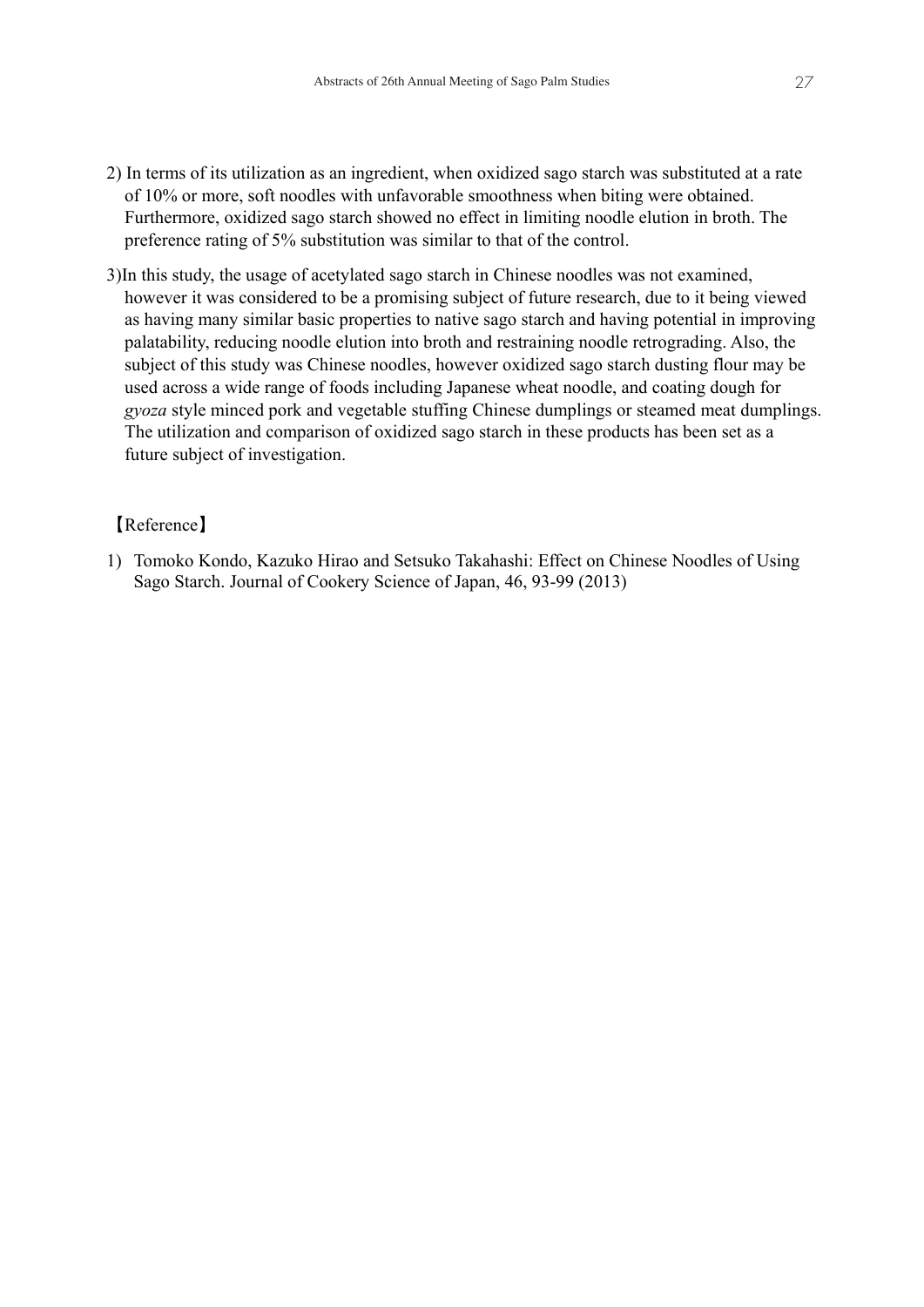- 2) In terms of its utilization as an ingredient, when oxidized sago starch was substituted at a rate of 10% or more, soft noodles with unfavorable smoothness when biting were obtained. Furthermore, oxidized sago starch showed no effect in limiting noodle elution in broth. The preference rating of 5% substitution was similar to that of the control.
- 3)In this study, the usage of acetylated sago starch in Chinese noodles was not examined, however it was considered to be a promising subject of future research, due to it being viewed as having many similar basic properties to native sago starch and having potential in improving palatability, reducing noodle elution into broth and restraining noodle retrograding. Also, the subject of this study was Chinese noodles, however oxidized sago starch dusting flour may be used across a wide range of foods including Japanese wheat noodle, and coating dough for *gyoza* style minced pork and vegetable stuffing Chinese dumplings or steamed meat dumplings. The utilization and comparison of oxidized sago starch in these products has been set as a future subject of investigation.

# 【Reference】

1) Tomoko Kondo, Kazuko Hirao and Setsuko Takahashi: Effect on Chinese Noodles of Using Sago Starch. Journal of Cookery Science of Japan, 46, 93-99 (2013)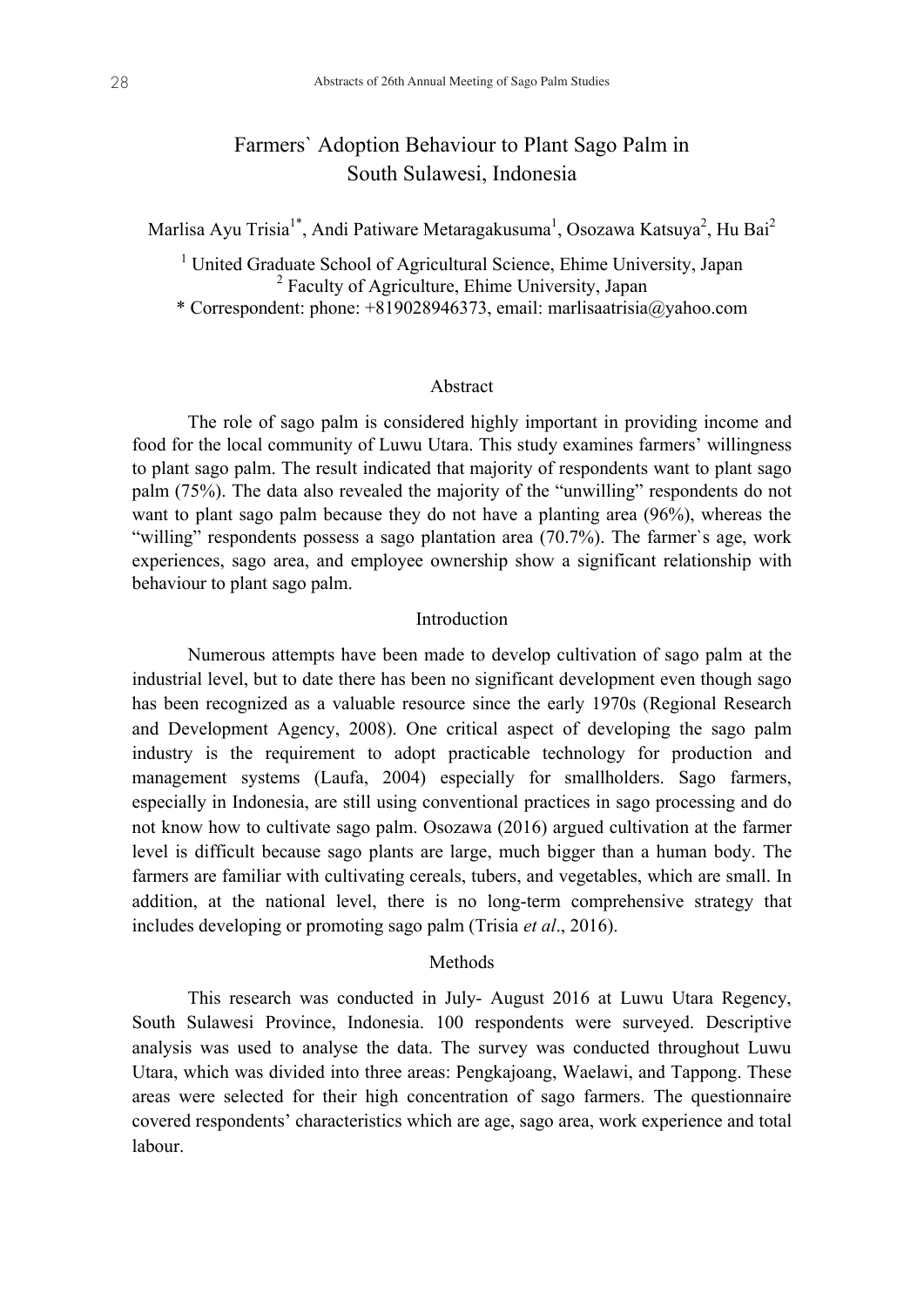# Farmers` Adoption Behaviour to Plant Sago Palm in South Sulawesi, Indonesia

Marlisa Ayu Trisia $^{1*}$ , Andi Patiware Metaragakusuma<sup>1</sup>, Osozawa Katsuya<sup>2</sup>, Hu Bai<sup>2</sup>

<sup>1</sup> United Graduate School of Agricultural Science, Ehime University, Japan <sup>2</sup> Faculty of Agriculture, Ehime University, Japan \* Correspondent: phone: +819028946373, email: marlisaatrisia@yahoo.com

#### Abstract

The role of sago palm is considered highly important in providing income and food for the local community of Luwu Utara. This study examines farmers' willingness to plant sago palm. The result indicated that majority of respondents want to plant sago palm (75%). The data also revealed the majority of the "unwilling" respondents do not want to plant sago palm because they do not have a planting area (96%), whereas the "willing" respondents possess a sago plantation area (70.7%). The farmer's age, work experiences, sago area, and employee ownership show a significant relationship with behaviour to plant sago palm.

#### Introduction

Numerous attempts have been made to develop cultivation of sago palm at the industrial level, but to date there has been no significant development even though sago has been recognized as a valuable resource since the early 1970s (Regional Research and Development Agency, 2008). One critical aspect of developing the sago palm industry is the requirement to adopt practicable technology for production and management systems (Laufa, 2004) especially for smallholders. Sago farmers, especially in Indonesia, are still using conventional practices in sago processing and do not know how to cultivate sago palm. Osozawa (2016) argued cultivation at the farmer level is difficult because sago plants are large, much bigger than a human body. The farmers are familiar with cultivating cereals, tubers, and vegetables, which are small. In addition, at the national level, there is no long-term comprehensive strategy that includes developing or promoting sago palm (Trisia *et al*., 2016).

#### **Methods**

This research was conducted in July- August 2016 at Luwu Utara Regency, South Sulawesi Province, Indonesia. 100 respondents were surveyed. Descriptive analysis was used to analyse the data. The survey was conducted throughout Luwu Utara, which was divided into three areas: Pengkajoang, Waelawi, and Tappong. These areas were selected for their high concentration of sago farmers. The questionnaire covered respondents' characteristics which are age, sago area, work experience and total labour.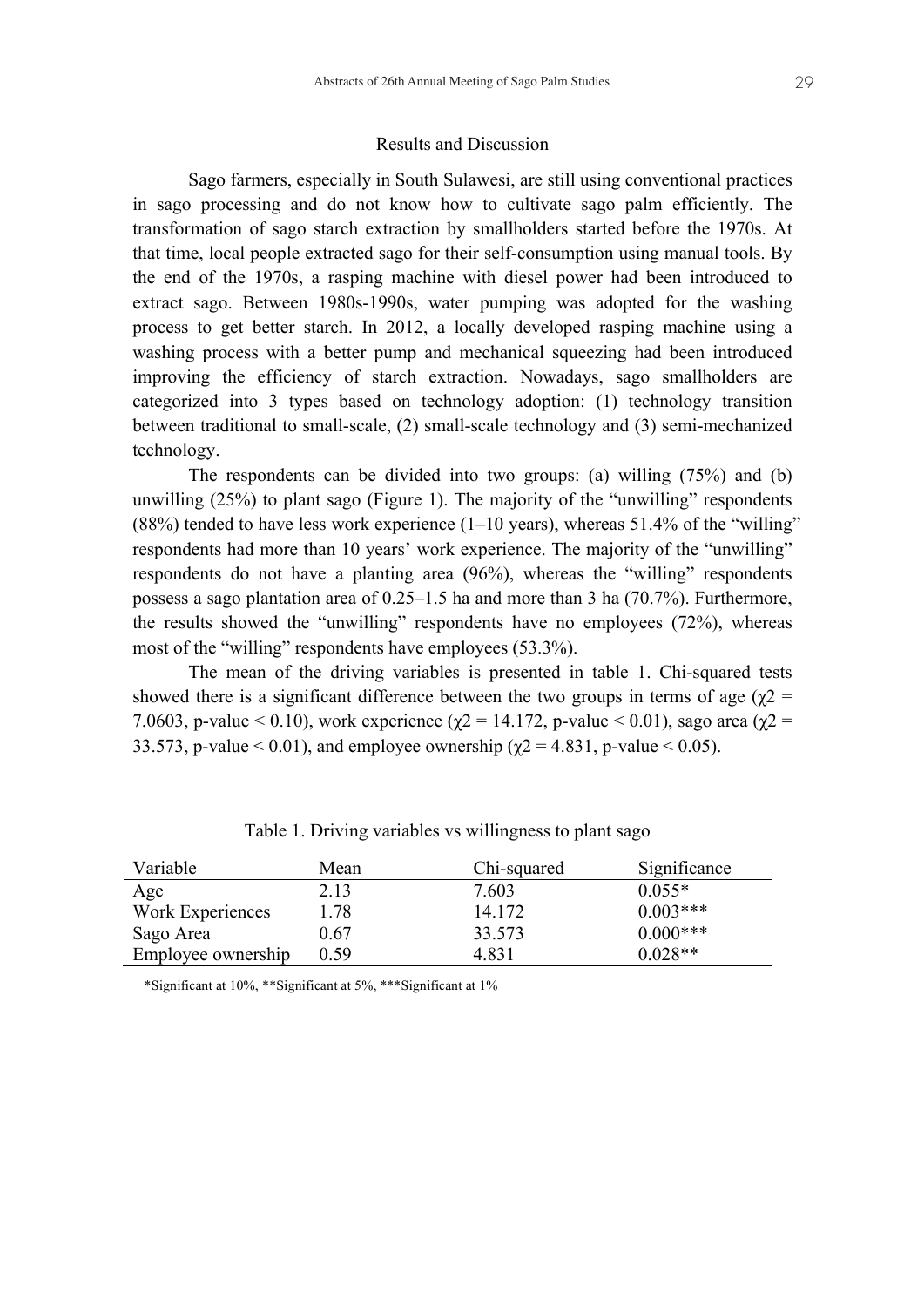#### Results and Discussion

Sago farmers, especially in South Sulawesi, are still using conventional practices in sago processing and do not know how to cultivate sago palm efficiently. The transformation of sago starch extraction by smallholders started before the 1970s. At that time, local people extracted sago for their self-consumption using manual tools. By the end of the 1970s, a rasping machine with diesel power had been introduced to extract sago. Between 1980s-1990s, water pumping was adopted for the washing process to get better starch. In 2012, a locally developed rasping machine using a washing process with a better pump and mechanical squeezing had been introduced improving the efficiency of starch extraction. Nowadays, sago smallholders are categorized into 3 types based on technology adoption: (1) technology transition between traditional to small-scale, (2) small-scale technology and (3) semi-mechanized technology.

The respondents can be divided into two groups: (a) willing (75%) and (b) unwilling (25%) to plant sago (Figure 1). The majority of the "unwilling" respondents  $(88%)$  tended to have less work experience  $(1-10 \text{ years})$ , whereas 51.4% of the "willing" respondents had more than 10 years' work experience. The majority of the "unwilling" respondents do not have a planting area (96%), whereas the "willing" respondents possess a sago plantation area of 0.25–1.5 ha and more than 3 ha (70.7%). Furthermore, the results showed the "unwilling" respondents have no employees (72%), whereas most of the "willing" respondents have employees (53.3%).

The mean of the driving variables is presented in table 1. Chi-squared tests showed there is a significant difference between the two groups in terms of age ( $\gamma$ 2 = 7.0603, p-value < 0.10), work experience ( $\gamma$ 2 = 14.172, p-value < 0.01), sago area ( $\gamma$ 2 = 33.573, p-value  $< 0.01$ ), and employee ownership ( $\gamma$ 2 = 4.831, p-value  $< 0.05$ ).

| Variable           | Mean | Chi-squared | Significance |
|--------------------|------|-------------|--------------|
| Age                | 2.13 | 7.603       | $0.055*$     |
| Work Experiences   | 1.78 | 14.172      | $0.003***$   |
| Sago Area          | 0.67 | 33.573      | $0.000***$   |
| Employee ownership | 0.59 | 4.831       | $0.028**$    |

Table 1. Driving variables vs willingness to plant sago

\*Significant at 10%, \*\*Significant at 5%, \*\*\*Significant at 1%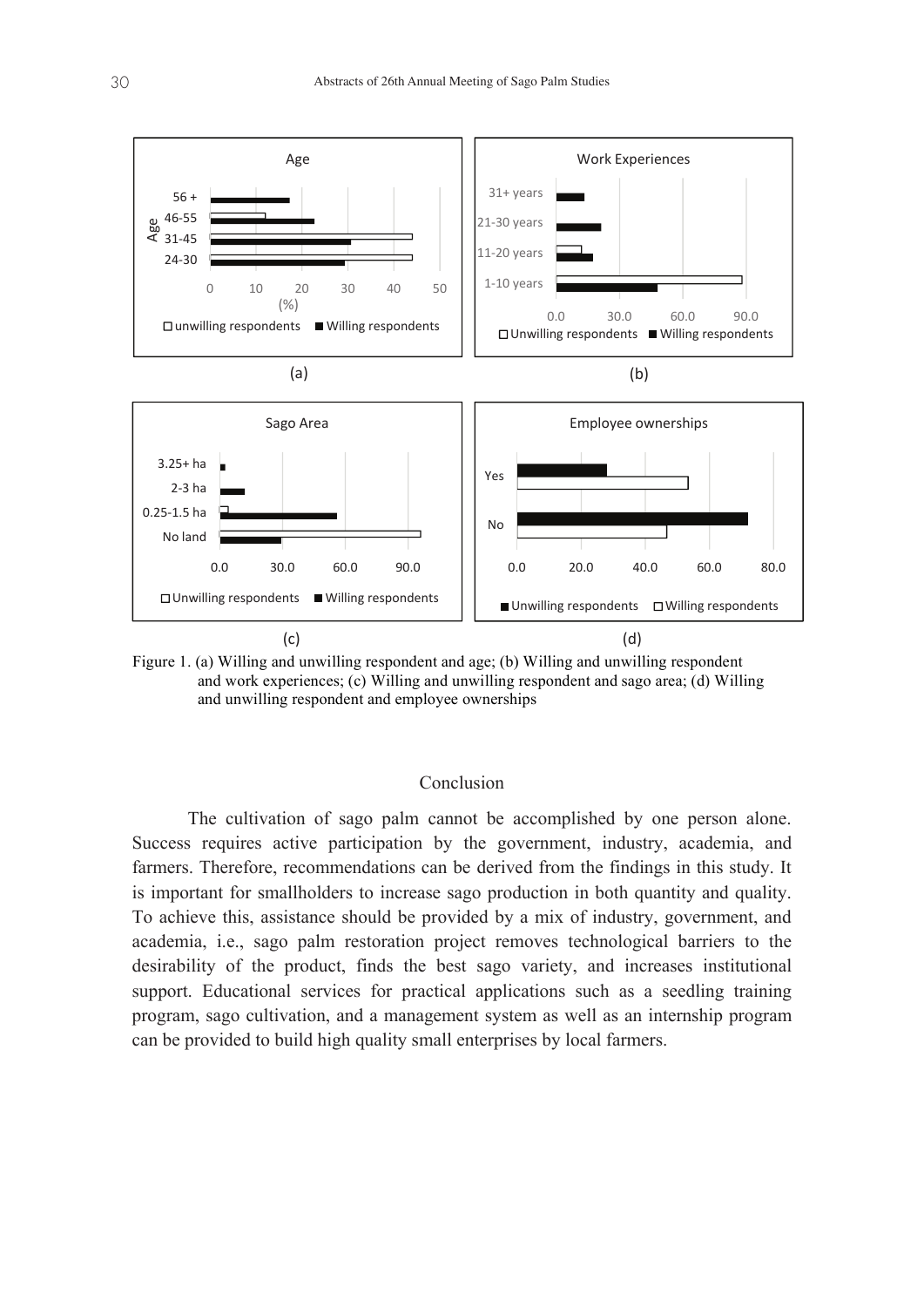

Figure 1. (a) Willing and unwilling respondent and age; (b) Willing and unwilling respondent and Work experiences; (c) Willing and Unwilling respondent and Sago area; (d) Willing and work experiences; (c) Willing and unwilling respondent and sago area; (d) Willing and Unwilling respondent and Employee ownerships and unwilling respondent and employee ownerships

# Conclusion Conclusion

The cultivation of sago palm cannot be accomplished by one person alone. The cultivation of sago palm cannot be accomplished by one person alone. Success requires active participation by the government, industry, academia, and Success requires active participation by the government, industry, academia, and farmers. Therefore, recommendations can be derived from the findings in this study. It farmers. Therefore, recommendations can be derived from the findings in this study. It is important for smallholders to increase sago production in both quantity and quality. is important for smallholders to increase sago production in both quantity and quality. To achieve this, assistance should be provided by a mix of industry, government, and To achieve this, assistance should be provided by a mix of industry, government, and academia, i.e., sago palm restoration project removes technological barriers to the academia, i.e., sago palm restoration project removes technological barriers to the desirability of the product, finds the best sago variety, and increases institutional desirability of the product, finds the best sago variety, and increases institutional support. Educational services for practical applications such as a seedling training support. Educational services for practical applications such as a seedling training program, sago cultivation, and a management system as well as an internship program program, sago cultivation, and a management system as well as an internship program can be provided to build high quality small enterprises by local farmers. can be provided to build high quality small enterprises by local farmers.